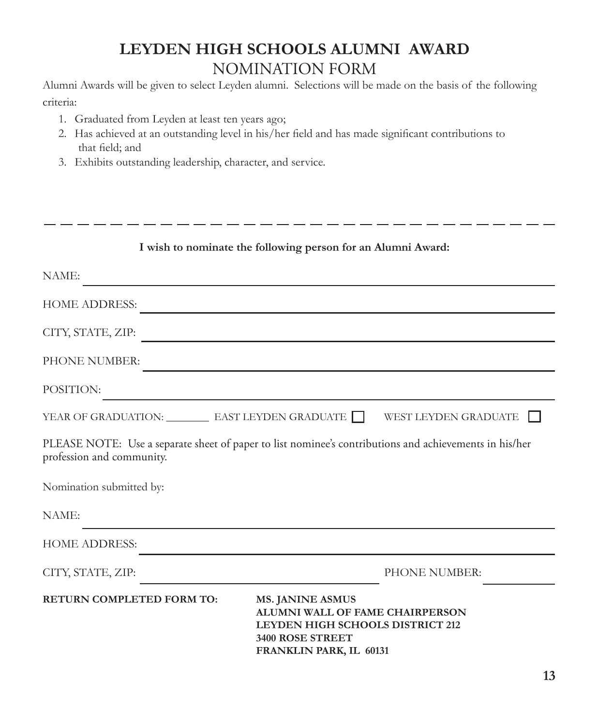## **LEYDEN HIGH SCHOOLS ALUMNI AWARD** NOMINATION FORM

Alumni Awards will be given to select Leyden alumni. Selections will be made on the basis of the following criteria:

- 1. Graduated from Leyden at least ten years ago;
- 2. Has achieved at an outstanding level in his/her field and has made significant contributions to that field; and
- 3. Exhibits outstanding leadership, character, and service.

| I wish to nominate the following person for an Alumni Award:                                                                        |                                                                                                                                                      |                      |
|-------------------------------------------------------------------------------------------------------------------------------------|------------------------------------------------------------------------------------------------------------------------------------------------------|----------------------|
| NAME:                                                                                                                               |                                                                                                                                                      |                      |
| <b>HOME ADDRESS:</b>                                                                                                                |                                                                                                                                                      |                      |
| CITY, STATE, ZIP:                                                                                                                   |                                                                                                                                                      |                      |
| PHONE NUMBER:                                                                                                                       |                                                                                                                                                      |                      |
| POSITION:                                                                                                                           |                                                                                                                                                      |                      |
| YEAR OF GRADUATION: EAST LEYDEN GRADUATE                                                                                            |                                                                                                                                                      | WEST LEYDEN GRADUATE |
| PLEASE NOTE: Use a separate sheet of paper to list nominee's contributions and achievements in his/her<br>profession and community. |                                                                                                                                                      |                      |
| Nomination submitted by:                                                                                                            |                                                                                                                                                      |                      |
| NAME:                                                                                                                               |                                                                                                                                                      |                      |
| <b>HOME ADDRESS:</b>                                                                                                                |                                                                                                                                                      |                      |
| CITY, STATE, ZIP:                                                                                                                   |                                                                                                                                                      | PHONE NUMBER:        |
| <b>RETURN COMPLETED FORM TO:</b>                                                                                                    | <b>MS. JANINE ASMUS</b><br><b>ALUMNI WALL OF FAME CHAIRPERSON</b><br>LEYDEN HIGH SCHOOLS DISTRICT 212<br>3400 ROSE STREET<br>FRANKLIN PARK, IL 60131 |                      |